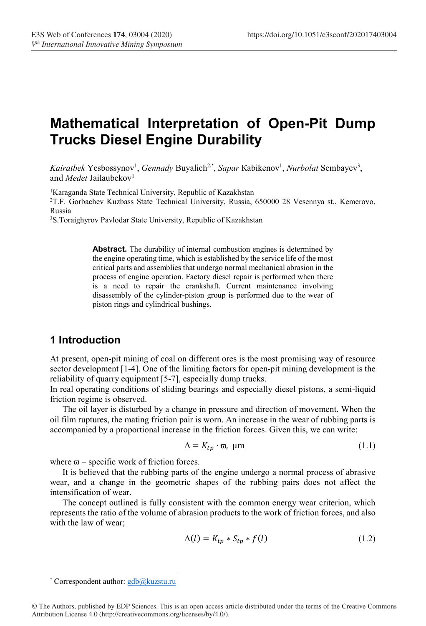# Mathematical Interpretation of Open-Pit Dump Trucks Diesel Engine Durability

Kairatbek Yesbossynov<sup>1</sup>, Gennady Buyalich<sup>2,\*</sup>, Sapar Kabikenov<sup>1</sup>, Nurbolat Sembayev<sup>3</sup>, and Medet Jailaubekov<sup>1</sup>

<sup>1</sup>Karaganda State Technical University, Republic of Kazakhstan

<sup>2</sup>Т.F. Gorbachev Kuzbass State Technical University, Russia, 650000 28 Vesennya st., Kemerovo, Russia

<sup>3</sup>S.Toraighyrov Pavlodar State University, Republic of Kazakhstan

Abstract. The durability of internal combustion engines is determined by the engine operating time, which is established by the service life of the most critical parts and assemblies that undergo normal mechanical abrasion in the process of engine operation. Factory diesel repair is performed when there is a need to repair the crankshaft. Current maintenance involving disassembly of the cylinder-piston group is performed due to the wear of piston rings and cylindrical bushings.

## 1 Introduction

At present, open-pit mining of coal on different ores is the most promising way of resource sector development [1-4]. One of the limiting factors for open-pit mining development is the reliability of quarry equipment [5-7], especially dump trucks.

In real operating conditions of sliding bearings and especially diesel pistons, a semi-liquid friction regime is observed.

The oil layer is disturbed by a change in pressure and direction of movement. When the oil film ruptures, the mating friction pair is worn. An increase in the wear of rubbing parts is accompanied by a proportional increase in the friction forces. Given this, we can write:

$$
\Delta = K_{tp} \cdot \varpi, \ \mu \text{m} \tag{1.1}
$$

where  $\varpi$  – specific work of friction forces.

It is believed that the rubbing parts of the engine undergo a normal process of abrasive wear, and a change in the geometric shapes of the rubbing pairs does not affect the intensification of wear.

The concept outlined is fully consistent with the common energy wear criterion, which represents the ratio of the volume of abrasion products to the work of friction forces, and also with the law of wear;

$$
\Delta(l) = K_{tp} * S_{tp} * f(l) \tag{1.2}
$$

<sup>\*</sup> Correspondent author: gdb@kuzstu.ru

<sup>©</sup> The Authors, published by EDP Sciences. This is an open access article distributed under the terms of the Creative Commons Attribution License 4.0 (http://creativecommons.org/licenses/by/4.0/).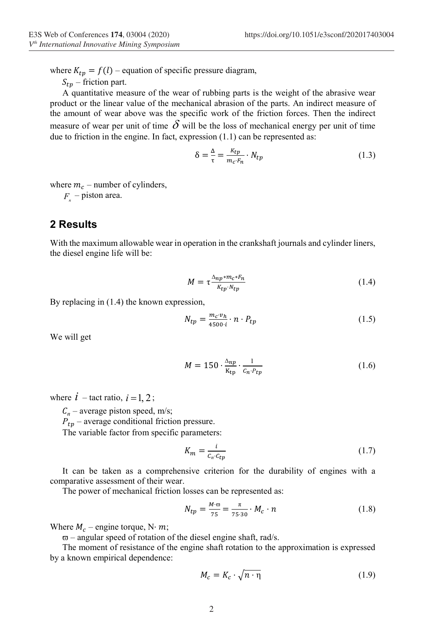where  $K_{tp} = f(l)$  – equation of specific pressure diagram,

 $S_{tn}$  – friction part.

A quantitative measure of the wear of rubbing parts is the weight of the abrasive wear product or the linear value of the mechanical abrasion of the parts. An indirect measure of the amount of wear above was the specific work of the friction forces. Then the indirect measure of wear per unit of time  $\delta$  will be the loss of mechanical energy per unit of time due to friction in the engine. In fact, expression  $(1.1)$  can be represented as:

$$
\delta = \frac{\Delta}{\tau} = \frac{\kappa_{tp}}{m_c \cdot F_n} \cdot N_{tp} \tag{1.3}
$$

where  $m_c$  – number of cylinders,

 $F_{\perp}$  – piston area.

#### 2 Results

With the maximum allowable wear in operation in the crankshaft journals and cylinder liners, the diesel engine life will be:

$$
M = \tau \frac{\Delta_{np} * m_c * F_n}{K_{tp} \cdot N_{tp}} \tag{1.4}
$$

By replacing in  $(1.4)$  the known expression,

$$
N_{tp} = \frac{m_c \cdot v_h}{4500 \cdot i} \cdot n \cdot P_{tp} \tag{1.5}
$$

We will get

$$
M = 150 \cdot \frac{\Delta np}{K_{\text{tp}}} \cdot \frac{1}{c_n \cdot P_{\text{tp}}}
$$
 (1.6)

where  $i$  – tact ratio,  $i = 1, 2$ ;

 $C_n$  – average piston speed, m/s;

 $P_{tp}$  – average conditional friction pressure.

The variable factor from specific parameters:

$$
K_m = \frac{i}{c_n \cdot c_{tp}}\tag{1.7}
$$

It can be taken as a comprehensive criterion for the durability of engines with a comparative assessment of their wear.

The power of mechanical friction losses can be represented as:

$$
N_{tp} = \frac{M \cdot \varpi}{75} = \frac{\pi}{75 \cdot 30} \cdot M_c \cdot n \tag{1.8}
$$

Where  $M_c$  – engine torque, N·m;

 $\overline{\omega}$  – angular speed of rotation of the diesel engine shaft, rad/s.

The moment of resistance of the engine shaft rotation to the approximation is expressed by a known empirical dependence:

$$
M_c = K_c \cdot \sqrt{n \cdot \eta} \tag{1.9}
$$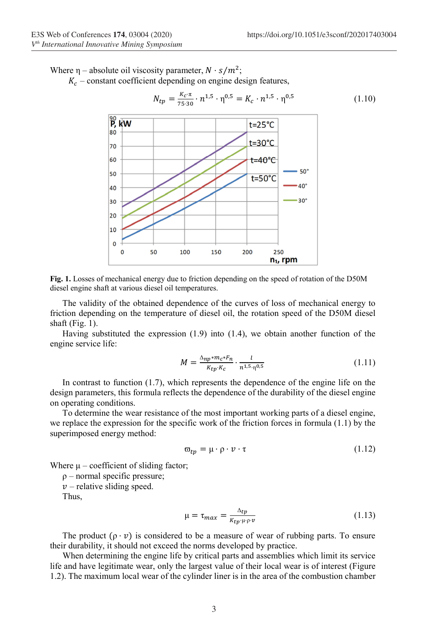Where  $\eta$  – absolute oil viscosity parameter,  $N \cdot s/m^2$ ;  $K_c$  – constant coefficient depending on engine design features,



Fig. 1. Losses of mechanical energy due to friction depending on the speed of rotation of the D50M diesel engine shaft at various diesel oil temperatures.

The validity of the obtained dependence of the curves of loss of mechanical energy to friction depending on the temperature of diesel oil, the rotation speed of the D50M diesel shaft (Fig. 1).

Having substituted the expression (1.9) into (1.4), we obtain another function of the engine service life:

$$
M = \frac{\Delta_{np} * m_c * F_n}{K_{tp} \cdot K_c} \cdot \frac{l}{n^{1.5} \cdot \eta^{0.5}}
$$
(1.11)

In contrast to function (1.7), which represents the dependence of the engine life on the design parameters, this formula reflects the dependence of the durability of the diesel engine on operating conditions.

To determine the wear resistance of the most important working parts of a diesel engine, we replace the expression for the specific work of the friction forces in formula (1.1) by the superimposed energy method:

$$
\varpi_{tp} = \mu \cdot \rho \cdot \nu \cdot \tau \tag{1.12}
$$

Where  $\mu$  – coefficient of sliding factor;

ρ – normal specific pressure;

 $\nu$  – relative sliding speed.

Thus,

$$
\mu = \tau_{max} = \frac{\Delta_{tp}}{\kappa_{tp} \cdot \mu \cdot \rho \cdot v} \tag{1.13}
$$

The product  $(\rho \cdot v)$  is considered to be a measure of wear of rubbing parts. To ensure their durability, it should not exceed the norms developed by practice.

When determining the engine life by critical parts and assemblies which limit its service life and have legitimate wear, only the largest value of their local wear is of interest (Figure 1.2). The maximum local wear of the cylinder liner is in the area of the combustion chamber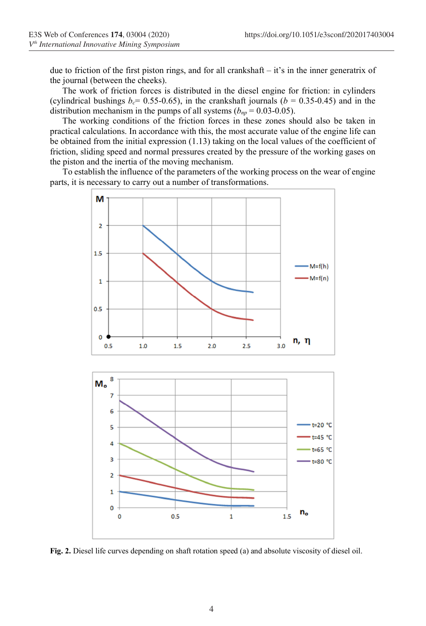due to friction of the first piston rings, and for all crankshaft – it's in the inner generatrix of the journal (between the cheeks).

The work of friction forces is distributed in the diesel engine for friction: in cylinders (cylindrical bushings  $b_c$  = 0.55-0.65), in the crankshaft journals ( $b$  = 0.35-0.45) and in the distribution mechanism in the pumps of all systems ( $b_{np} = 0.03$ -0.05).

The working conditions of the friction forces in these zones should also be taken in practical calculations. In accordance with this, the most accurate value of the engine life can be obtained from the initial expression (1.13) taking on the local values of the coefficient of friction, sliding speed and normal pressures created by the pressure of the working gases on the piston and the inertia of the moving mechanism.

To establish the influence of the parameters of the working process on the wear of engine parts, it is necessary to carry out a number of transformations.



Fig. 2. Diesel life curves depending on shaft rotation speed (a) and absolute viscosity of diesel oil.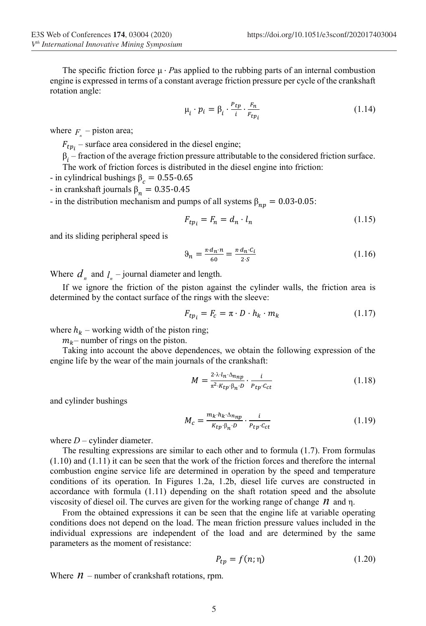The specific friction force  $\mu \cdot P$  as applied to the rubbing parts of an internal combustion engine is expressed in terms of a constant average friction pressure per cycle of the crankshaft rotation angle:

$$
\mu_i \cdot p_i = \beta_i \cdot \frac{P_{tp}}{i} \cdot \frac{F_n}{F_{tp_i}} \tag{1.14}
$$

where  $F_n$  – piston area;

 $F_{tp_i}$  – surface area considered in the diesel engine;

 $\beta_i$  – fraction of the average friction pressure attributable to the considered friction surface. The work of friction forces is distributed in the diesel engine into friction:

- in cylindrical bushings  $\beta_c = 0.55$ -0.65

- in crankshaft journals  $\beta_n = 0.35$ -0.45

- in the distribution mechanism and pumps of all systems  $\beta_{np} = 0.03$ -0.05:

$$
F_{tp_i} = F_n = d_n \cdot l_n \tag{1.15}
$$

and its sliding peripheral speed is

$$
\vartheta_n = \frac{\pi \cdot d_n \cdot n}{60} = \frac{\pi \cdot d_n \cdot C_i}{2 \cdot S} \tag{1.16}
$$

Where  $d_n$  and  $l_n$  – journal diameter and length.

If we ignore the friction of the piston against the cylinder walls, the friction area is determined by the contact surface of the rings with the sleeve:

$$
F_{tp_i} = F_c = \pi \cdot D \cdot h_k \cdot m_k \tag{1.17}
$$

where  $h_k$  – working width of the piston ring;

 $m_k$ – number of rings on the piston.

Taking into account the above dependences, we obtain the following expression of the engine life by the wear of the main journals of the crankshaft:

$$
M = \frac{2 \cdot \lambda \cdot l_n \cdot \Delta_{nnp}}{\pi^2 \cdot K_{tp} \cdot \beta_n \cdot D} \cdot \frac{i}{P_{tp} \cdot C_{ct}} \tag{1.18}
$$

and cylinder bushings

$$
M_c = \frac{m_k \cdot h_k \cdot \Delta_{nnp}}{K_{tp} \cdot \beta_n \cdot D} \cdot \frac{i}{P_{tp} \cdot C_{ct}} \tag{1.19}
$$

where  $D$  – cylinder diameter.

The resulting expressions are similar to each other and to formula (1.7). From formulas (1.10) and (1.11) it can be seen that the work of the friction forces and therefore the internal combustion engine service life are determined in operation by the speed and temperature conditions of its operation. In Figures 1.2a, 1.2b, diesel life curves are constructed in accordance with formula (1.11) depending on the shaft rotation speed and the absolute viscosity of diesel oil. The curves are given for the working range of change  $n$  and  $n$ .

From the obtained expressions it can be seen that the engine life at variable operating conditions does not depend on the load. The mean friction pressure values included in the individual expressions are independent of the load and are determined by the same parameters as the moment of resistance:

$$
P_{tp} = f(n; \eta) \tag{1.20}
$$

Where  $n$  – number of crankshaft rotations, rpm.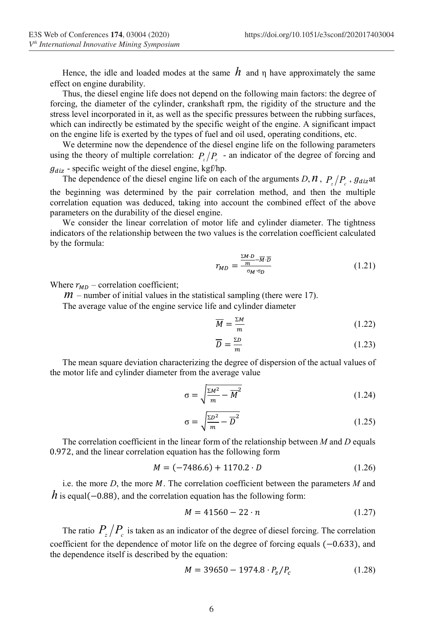Hence, the idle and loaded modes at the same  $h$  and n have approximately the same effect on engine durability.

Thus, the diesel engine life does not depend on the following main factors: the degree of forcing, the diameter of the cylinder, crankshaft rpm, the rigidity of the structure and the stress level incorporated in it, as well as the specific pressures between the rubbing surfaces, which can indirectly be estimated by the specific weight of the engine. A significant impact on the engine life is exerted by the types of fuel and oil used, operating conditions, etc.

We determine now the dependence of the diesel engine life on the following parameters using the theory of multiple correlation:  $P_z/P_z$  - an indicator of the degree of forcing and  $q_{\text{dis}}$  - specific weight of the diesel engine, kgf/hp.

The dependence of the diesel engine life on each of the arguments D,  $\hat{\theta}$ ,  $P_z/P_z$ ,  $g_{diz}$ at the beginning was determined by the pair correlation method, and then the multiple correlation equation was deduced, taking into account the combined effect of the above parameters on the durability of the diesel engine.

We consider the linear correlation of motor life and cylinder diameter. The tightness indicators of the relationship between the two values is the correlation coefficient calculated by the formula:

$$
r_{MD} = \frac{\frac{\sum M \cdot D}{m} - \overline{M} \cdot \overline{D}}{\sigma_M \cdot \sigma_D} \tag{1.21}
$$

Where  $r_{MD}$  – correlation coefficient;

 $m$  – number of initial values in the statistical sampling (there were 17).

The average value of the engine service life and cylinder diameter

$$
\overline{M} = \frac{\Sigma M}{m} \tag{1.22}
$$

$$
\overline{D} = \frac{\Sigma D}{m} \tag{1.23}
$$

The mean square deviation characterizing the degree of dispersion of the actual values of the motor life and cylinder diameter from the average value

$$
\sigma = \sqrt{\frac{\Sigma M^2}{m} - \overline{M}^2} \tag{1.24}
$$

$$
\sigma = \sqrt{\frac{\Sigma D^2}{m} - \overline{D}^2} \tag{1.25}
$$

The correlation coefficient in the linear form of the relationship between  $M$  and  $D$  equals 0.972, and the linear correlation equation has the following form

$$
M = (-7486.6) + 1170.2 \cdot D \tag{1.26}
$$

i.e. the more  $D$ , the more  $M$ . The correlation coefficient between the parameters  $M$  and h is equal( $-0.88$ ), and the correlation equation has the following form:

$$
M = 41560 - 22 \cdot n \tag{1.27}
$$

The ratio  $P_z/P_c$  is taken as an indicator of the degree of diesel forcing. The correlation coefficient for the dependence of motor life on the degree of forcing equals (−0.633), and the dependence itself is described by the equation:

$$
M = 39650 - 1974.8 \cdot P_z / P_c \tag{1.28}
$$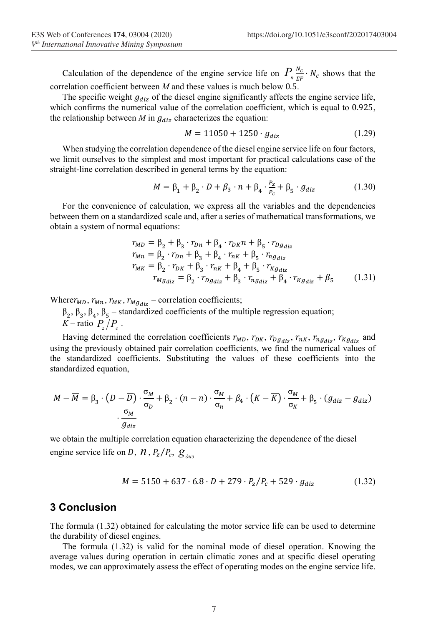Calculation of the dependence of the engine service life on  $P_n \frac{N_c}{r_F} \cdot N_c$  shows that the correlation coefficient between  $M$  and these values is much below 0.5.

The specific weight  $g_{diz}$  of the diesel engine significantly affects the engine service life, which confirms the numerical value of the correlation coefficient, which is equal to 0.925, the relationship between  $M$  in  $g_{diz}$  characterizes the equation:

$$
M = 11050 + 1250 \cdot g_{diz} \tag{1.29}
$$

When studying the correlation dependence of the diesel engine service life on four factors, we limit ourselves to the simplest and most important for practical calculations case of the straight-line correlation described in general terms by the equation:

$$
M = \beta_1 + \beta_2 \cdot D + \beta_3 \cdot n + \beta_4 \cdot \frac{P_z}{P_c} + \beta_5 \cdot g_{diz} \tag{1.30}
$$

For the convenience of calculation, we express all the variables and the dependencies between them on a standardized scale and, after a series of mathematical transformations, we obtain a system of normal equations:

$$
r_{MD} = \beta_2 + \beta_3 \cdot r_{Dn} + \beta_4 \cdot r_{DK} n + \beta_5 \cdot r_{Dg_{diz}}
$$
  
\n
$$
r_{Mn} = \beta_2 \cdot r_{Dn} + \beta_3 + \beta_4 \cdot r_{nk} + \beta_5 \cdot r_{ng_{diz}}
$$
  
\n
$$
r_{MK} = \beta_2 \cdot r_{DK} + \beta_3 \cdot r_{nk} + \beta_4 + \beta_5 \cdot r_{Kg_{diz}}
$$
  
\n
$$
r_{Mg_{diz}} = \beta_2 \cdot r_{Dg_{diz}} + \beta_3 \cdot r_{ng_{diz}} + \beta_4 \cdot r_{Kg_{diz}} + \beta_5
$$
 (1.31)

Where  $r_{MD}$ ,  $r_{Mn}$ ,  $r_{MK}$ ,  $r_{Mg_{diz}}$  – correlation coefficients;

 $\beta_2$ ,  $\beta_3$ ,  $\beta_4$ ,  $\beta_5$  – standardized coefficients of the multiple regression equation; K-ratio  $P_z/P_c$ .

Having determined the correlation coefficients  $r_{MD}$ ,  $r_{DK}$ ,  $r_{Dg_{diz}}$ ,  $r_{nK}$ ,  $r_{ng_{diz}}$ ,  $r_{Kg_{diz}}$  and using the previously obtained pair correlation coefficients, we find the numerical values of the standardized coefficients. Substituting the values of these coefficients into the standardized equation,

$$
M - \overline{M} = \beta_3 \cdot (D - \overline{D}) \cdot \frac{\sigma_M}{\sigma_D} + \beta_2 \cdot (n - \overline{n}) \cdot \frac{\sigma_M}{\sigma_n} + \beta_4 \cdot (K - \overline{K}) \cdot \frac{\sigma_M}{\sigma_K} + \beta_5 \cdot (g_{diz} - \overline{g_{diz}})
$$

$$
\cdot \frac{\sigma_M}{g_{diz}}
$$

we obtain the multiple correlation equation characterizing the dependence of the diesel engine service life on D,  $\hat{\eta}$ ,  $P_z/P_c$ ,  $\hat{g}_{\hat{\theta}u}$ 

$$
M = 5150 + 637 \cdot 6.8 \cdot D + 279 \cdot P_z / P_c + 529 \cdot g_{diz} \tag{1.32}
$$

#### 3 Conclusion

The formula  $(1.32)$  obtained for calculating the motor service life can be used to determine the durability of diesel engines.

The formula (1.32) is valid for the nominal mode of diesel operation. Knowing the average values during operation in certain climatic zones and at specific diesel operating modes, we can approximately assess the effect of operating modes on the engine service life.